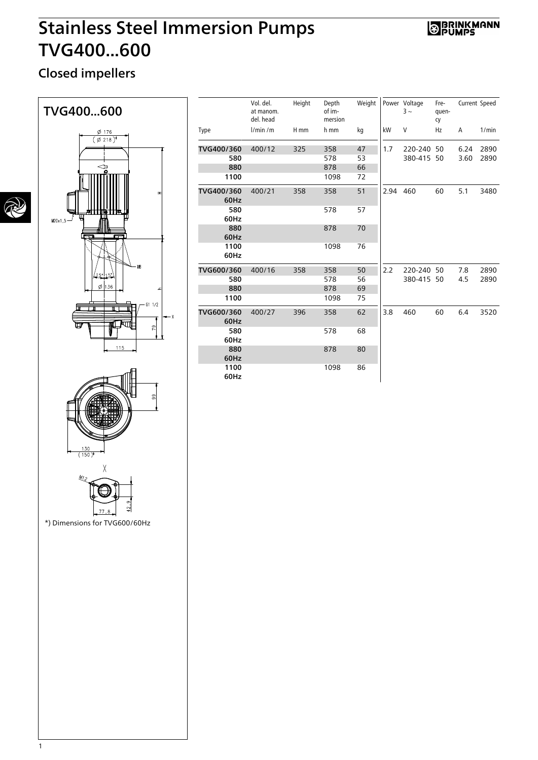# Stainless Steel Immersion Pumps TVG400...600

### **S BRINKMANN**

### Closed impellers



|                               | 77.8 |  |
|-------------------------------|------|--|
| *) Dimensions for TVG600/60Hz |      |  |

Type Vol. del. at manom. del. head Height Depth of immersion Weight l/min /m H mm h mm kg TVG400/360 400/12 325 358 47 **580** 578 53 **880** 378 66 1100 1098 72 Power Voltage  $3 -$ Frequency Current Speed kW V Hz A 1/min 1.7 220-240 50 6.24 2890 380-415 50 3.60 2890 TVG400/360 60Hz 400/21 358 358 51 580 60Hz 358 578 57 880 60Hz 878 70 1100 60Hz 358 1098 76 2.94 460 60 5.1 3480 TVG600/360 400/16 358 358 50 580 358 578 56 **880** 378 69 1100 1098 75 2.2 220-240 50 7.8 2890 380-415 50 4.5 2890 TVG600/360 60Hz 400/27 396 358 62 580 60Hz 396 578 68 880 60Hz 878 80 1100 60Hz 396 1098 86 3.8 460 60 6.4 3520